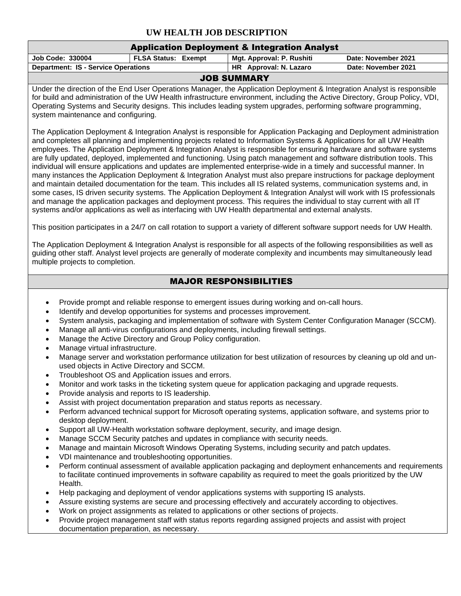## **UW HEALTH JOB DESCRIPTION**

|                                                                                                                                                                                                                                                                                                                                                                                                                                                                                                                                                                                                                                                                                                                                                                                                                                                                                                                                                                                                                                                                                                                                                                                                                                                                                                                                                                                                                                                                                                                                                                                                                                                                                                                                                                                                                                                                                                                                                                                                                                                                                                                                                                                                                                                                                                                                                                                                               | <b>Application Deployment &amp; Integration Analyst</b> |                               |                                                                                                                               |  |  |  |  |
|---------------------------------------------------------------------------------------------------------------------------------------------------------------------------------------------------------------------------------------------------------------------------------------------------------------------------------------------------------------------------------------------------------------------------------------------------------------------------------------------------------------------------------------------------------------------------------------------------------------------------------------------------------------------------------------------------------------------------------------------------------------------------------------------------------------------------------------------------------------------------------------------------------------------------------------------------------------------------------------------------------------------------------------------------------------------------------------------------------------------------------------------------------------------------------------------------------------------------------------------------------------------------------------------------------------------------------------------------------------------------------------------------------------------------------------------------------------------------------------------------------------------------------------------------------------------------------------------------------------------------------------------------------------------------------------------------------------------------------------------------------------------------------------------------------------------------------------------------------------------------------------------------------------------------------------------------------------------------------------------------------------------------------------------------------------------------------------------------------------------------------------------------------------------------------------------------------------------------------------------------------------------------------------------------------------------------------------------------------------------------------------------------------------|---------------------------------------------------------|-------------------------------|-------------------------------------------------------------------------------------------------------------------------------|--|--|--|--|
| Job Code: 330004                                                                                                                                                                                                                                                                                                                                                                                                                                                                                                                                                                                                                                                                                                                                                                                                                                                                                                                                                                                                                                                                                                                                                                                                                                                                                                                                                                                                                                                                                                                                                                                                                                                                                                                                                                                                                                                                                                                                                                                                                                                                                                                                                                                                                                                                                                                                                                                              | <b>FLSA Status: Exempt</b>                              | Mgt. Approval: P. Rushiti     | Date: November 2021                                                                                                           |  |  |  |  |
| <b>Department: IS - Service Operations</b>                                                                                                                                                                                                                                                                                                                                                                                                                                                                                                                                                                                                                                                                                                                                                                                                                                                                                                                                                                                                                                                                                                                                                                                                                                                                                                                                                                                                                                                                                                                                                                                                                                                                                                                                                                                                                                                                                                                                                                                                                                                                                                                                                                                                                                                                                                                                                                    |                                                         | HR Approval: N. Lazaro        | Date: November 2021                                                                                                           |  |  |  |  |
| <b>JOB SUMMARY</b>                                                                                                                                                                                                                                                                                                                                                                                                                                                                                                                                                                                                                                                                                                                                                                                                                                                                                                                                                                                                                                                                                                                                                                                                                                                                                                                                                                                                                                                                                                                                                                                                                                                                                                                                                                                                                                                                                                                                                                                                                                                                                                                                                                                                                                                                                                                                                                                            |                                                         |                               |                                                                                                                               |  |  |  |  |
| Under the direction of the End User Operations Manager, the Application Deployment & Integration Analyst is responsible<br>for build and administration of the UW Health infrastructure environment, including the Active Directory, Group Policy, VDI,<br>Operating Systems and Security designs. This includes leading system upgrades, performing software programming,<br>system maintenance and configuring.                                                                                                                                                                                                                                                                                                                                                                                                                                                                                                                                                                                                                                                                                                                                                                                                                                                                                                                                                                                                                                                                                                                                                                                                                                                                                                                                                                                                                                                                                                                                                                                                                                                                                                                                                                                                                                                                                                                                                                                             |                                                         |                               |                                                                                                                               |  |  |  |  |
| The Application Deployment & Integration Analyst is responsible for Application Packaging and Deployment administration<br>and completes all planning and implementing projects related to Information Systems & Applications for all UW Health<br>employees. The Application Deployment & Integration Analyst is responsible for ensuring hardware and software systems<br>are fully updated, deployed, implemented and functioning. Using patch management and software distribution tools. This<br>individual will ensure applications and updates are implemented enterprise-wide in a timely and successful manner. In<br>many instances the Application Deployment & Integration Analyst must also prepare instructions for package deployment<br>and maintain detailed documentation for the team. This includes all IS related systems, communication systems and, in<br>some cases, IS driven security systems. The Application Deployment & Integration Analyst will work with IS professionals<br>and manage the application packages and deployment process. This requires the individual to stay current with all IT<br>systems and/or applications as well as interfacing with UW Health departmental and external analysts.                                                                                                                                                                                                                                                                                                                                                                                                                                                                                                                                                                                                                                                                                                                                                                                                                                                                                                                                                                                                                                                                                                                                                                    |                                                         |                               |                                                                                                                               |  |  |  |  |
|                                                                                                                                                                                                                                                                                                                                                                                                                                                                                                                                                                                                                                                                                                                                                                                                                                                                                                                                                                                                                                                                                                                                                                                                                                                                                                                                                                                                                                                                                                                                                                                                                                                                                                                                                                                                                                                                                                                                                                                                                                                                                                                                                                                                                                                                                                                                                                                                               |                                                         |                               | This position participates in a 24/7 on call rotation to support a variety of different software support needs for UW Health. |  |  |  |  |
| The Application Deployment & Integration Analyst is responsible for all aspects of the following responsibilities as well as<br>guiding other staff. Analyst level projects are generally of moderate complexity and incumbents may simultaneously lead<br>multiple projects to completion.                                                                                                                                                                                                                                                                                                                                                                                                                                                                                                                                                                                                                                                                                                                                                                                                                                                                                                                                                                                                                                                                                                                                                                                                                                                                                                                                                                                                                                                                                                                                                                                                                                                                                                                                                                                                                                                                                                                                                                                                                                                                                                                   |                                                         |                               |                                                                                                                               |  |  |  |  |
|                                                                                                                                                                                                                                                                                                                                                                                                                                                                                                                                                                                                                                                                                                                                                                                                                                                                                                                                                                                                                                                                                                                                                                                                                                                                                                                                                                                                                                                                                                                                                                                                                                                                                                                                                                                                                                                                                                                                                                                                                                                                                                                                                                                                                                                                                                                                                                                                               |                                                         | <b>MAJOR RESPONSIBILITIES</b> |                                                                                                                               |  |  |  |  |
| Provide prompt and reliable response to emergent issues during working and on-call hours.<br>$\bullet$<br>Identify and develop opportunities for systems and processes improvement.<br>$\bullet$<br>System analysis, packaging and implementation of software with System Center Configuration Manager (SCCM).<br>$\bullet$<br>Manage all anti-virus configurations and deployments, including firewall settings.<br>$\bullet$<br>Manage the Active Directory and Group Policy configuration.<br>$\bullet$<br>Manage virtual infrastructure.<br>$\bullet$<br>Manage server and workstation performance utilization for best utilization of resources by cleaning up old and un-<br>$\bullet$<br>used objects in Active Directory and SCCM.<br>Troubleshoot OS and Application issues and errors.<br>$\bullet$<br>Monitor and work tasks in the ticketing system queue for application packaging and upgrade requests.<br>$\bullet$<br>Provide analysis and reports to IS leadership.<br>$\bullet$<br>Assist with project documentation preparation and status reports as necessary.<br>$\bullet$<br>Perform advanced technical support for Microsoft operating systems, application software, and systems prior to<br>$\bullet$<br>desktop deployment.<br>Support all UW-Health workstation software deployment, security, and image design.<br>$\bullet$<br>Manage SCCM Security patches and updates in compliance with security needs.<br>$\bullet$<br>Manage and maintain Microsoft Windows Operating Systems, including security and patch updates.<br>$\bullet$<br>VDI maintenance and troubleshooting opportunities.<br>$\bullet$<br>Perform continual assessment of available application packaging and deployment enhancements and requirements<br>$\bullet$<br>to facilitate continued improvements in software capability as required to meet the goals prioritized by the UW<br>Health.<br>Help packaging and deployment of vendor applications systems with supporting IS analysts.<br>$\bullet$<br>Assure existing systems are secure and processing effectively and accurately according to objectives.<br>$\bullet$<br>Work on project assignments as related to applications or other sections of projects.<br>$\bullet$<br>Provide project management staff with status reports regarding assigned projects and assist with project<br>$\bullet$<br>documentation preparation, as necessary. |                                                         |                               |                                                                                                                               |  |  |  |  |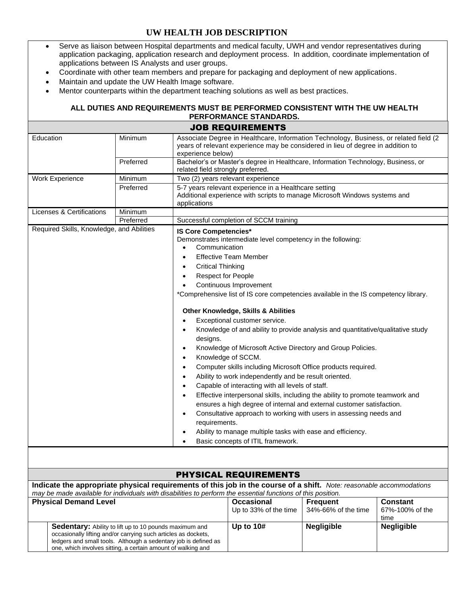## **UW HEALTH JOB DESCRIPTION**

- Serve as liaison between Hospital departments and medical faculty, UWH and vendor representatives during application packaging, application research and deployment process. In addition, coordinate implementation of applications between IS Analysts and user groups.
- Coordinate with other team members and prepare for packaging and deployment of new applications.
- Maintain and update the UW Health Image software.
- Mentor counterparts within the department teaching solutions as well as best practices.

## **ALL DUTIES AND REQUIREMENTS MUST BE PERFORMED CONSISTENT WITH THE UW HEALTH PERFORMANCE STANDARDS.**

|                                                                                                                                                                                                                                                             |           |                                                                                                                                                                                                | JOB REQUIREMENTS                                                                                                                                                                                                                                                                                                                                                                                                                                                                                                                                                                                                                                                                                                                                                                                                                                                                                                                                                                                                                    |                                                                            |                   |
|-------------------------------------------------------------------------------------------------------------------------------------------------------------------------------------------------------------------------------------------------------------|-----------|------------------------------------------------------------------------------------------------------------------------------------------------------------------------------------------------|-------------------------------------------------------------------------------------------------------------------------------------------------------------------------------------------------------------------------------------------------------------------------------------------------------------------------------------------------------------------------------------------------------------------------------------------------------------------------------------------------------------------------------------------------------------------------------------------------------------------------------------------------------------------------------------------------------------------------------------------------------------------------------------------------------------------------------------------------------------------------------------------------------------------------------------------------------------------------------------------------------------------------------------|----------------------------------------------------------------------------|-------------------|
| Education                                                                                                                                                                                                                                                   | Minimum   | Associate Degree in Healthcare, Information Technology, Business, or related field (2)<br>years of relevant experience may be considered in lieu of degree in addition to<br>experience below) |                                                                                                                                                                                                                                                                                                                                                                                                                                                                                                                                                                                                                                                                                                                                                                                                                                                                                                                                                                                                                                     |                                                                            |                   |
|                                                                                                                                                                                                                                                             | Preferred | Bachelor's or Master's degree in Healthcare, Information Technology, Business, or<br>related field strongly preferred.                                                                         |                                                                                                                                                                                                                                                                                                                                                                                                                                                                                                                                                                                                                                                                                                                                                                                                                                                                                                                                                                                                                                     |                                                                            |                   |
| <b>Work Experience</b>                                                                                                                                                                                                                                      | Minimum   | Two (2) years relevant experience                                                                                                                                                              |                                                                                                                                                                                                                                                                                                                                                                                                                                                                                                                                                                                                                                                                                                                                                                                                                                                                                                                                                                                                                                     |                                                                            |                   |
|                                                                                                                                                                                                                                                             | Preferred | applications                                                                                                                                                                                   | 5-7 years relevant experience in a Healthcare setting                                                                                                                                                                                                                                                                                                                                                                                                                                                                                                                                                                                                                                                                                                                                                                                                                                                                                                                                                                               | Additional experience with scripts to manage Microsoft Windows systems and |                   |
| Licenses & Certifications                                                                                                                                                                                                                                   | Minimum   |                                                                                                                                                                                                |                                                                                                                                                                                                                                                                                                                                                                                                                                                                                                                                                                                                                                                                                                                                                                                                                                                                                                                                                                                                                                     |                                                                            |                   |
|                                                                                                                                                                                                                                                             | Preferred |                                                                                                                                                                                                |                                                                                                                                                                                                                                                                                                                                                                                                                                                                                                                                                                                                                                                                                                                                                                                                                                                                                                                                                                                                                                     |                                                                            |                   |
| Required Skills, Knowledge, and Abilities<br>$\bullet$<br>$\bullet$<br>$\bullet$<br>$\bullet$<br>$\bullet$<br>$\bullet$<br>$\bullet$<br>$\bullet$<br>$\bullet$<br>$\bullet$                                                                                 |           | <b>IS Core Competencies*</b><br>Communication<br><b>Critical Thinking</b><br><b>Respect for People</b><br>designs.<br>requirements.                                                            | Successful completion of SCCM training<br>Demonstrates intermediate level competency in the following:<br><b>Effective Team Member</b><br>Continuous Improvement<br>*Comprehensive list of IS core competencies available in the IS competency library.<br><b>Other Knowledge, Skills &amp; Abilities</b><br>Exceptional customer service.<br>Knowledge of and ability to provide analysis and quantitative/qualitative study<br>Knowledge of Microsoft Active Directory and Group Policies.<br>Knowledge of SCCM.<br>Computer skills including Microsoft Office products required.<br>Ability to work independently and be result oriented.<br>Capable of interacting with all levels of staff.<br>Effective interpersonal skills, including the ability to promote teamwork and<br>ensures a high degree of internal and external customer satisfaction.<br>Consultative approach to working with users in assessing needs and<br>Ability to manage multiple tasks with ease and efficiency.<br>Basic concepts of ITIL framework. |                                                                            |                   |
|                                                                                                                                                                                                                                                             |           |                                                                                                                                                                                                |                                                                                                                                                                                                                                                                                                                                                                                                                                                                                                                                                                                                                                                                                                                                                                                                                                                                                                                                                                                                                                     |                                                                            |                   |
|                                                                                                                                                                                                                                                             |           |                                                                                                                                                                                                | <b>PHYSICAL REQUIREMENTS</b>                                                                                                                                                                                                                                                                                                                                                                                                                                                                                                                                                                                                                                                                                                                                                                                                                                                                                                                                                                                                        |                                                                            |                   |
| Indicate the appropriate physical requirements of this job in the course of a shift. Note: reasonable accommodations<br>may be made available for individuals with disabilities to perform the essential functions of this position.                        |           |                                                                                                                                                                                                |                                                                                                                                                                                                                                                                                                                                                                                                                                                                                                                                                                                                                                                                                                                                                                                                                                                                                                                                                                                                                                     |                                                                            |                   |
| <b>Physical Demand Level</b>                                                                                                                                                                                                                                |           | <b>Occasional</b><br>Up to 33% of the time                                                                                                                                                     | <b>Frequent</b><br>34%-66% of the time                                                                                                                                                                                                                                                                                                                                                                                                                                                                                                                                                                                                                                                                                                                                                                                                                                                                                                                                                                                              | <b>Constant</b><br>67%-100% of the<br>time                                 |                   |
| Sedentary: Ability to lift up to 10 pounds maximum and<br>occasionally lifting and/or carrying such articles as dockets,<br>ledgers and small tools. Although a sedentary job is defined as<br>one, which involves sitting, a certain amount of walking and |           |                                                                                                                                                                                                | Up to 10#                                                                                                                                                                                                                                                                                                                                                                                                                                                                                                                                                                                                                                                                                                                                                                                                                                                                                                                                                                                                                           | <b>Negligible</b>                                                          | <b>Negligible</b> |